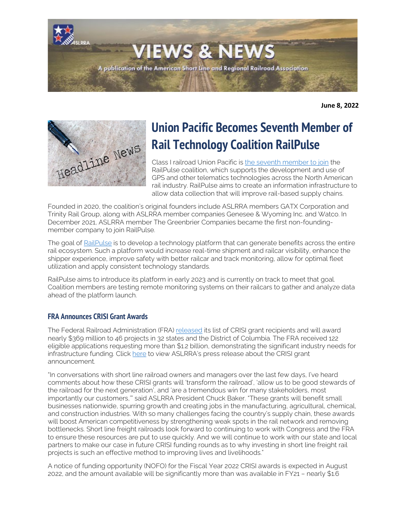

**June 8, 2022**



# **Union Pacific Becomes Seventh Member of Rail Technology Coalition RailPulse**

Class I railroad Union Pacific is [the seventh member to join](https://www.up.com/media/releases/railpulse-coalition-telematics-nr-220607.htm) the RailPulse coalition, which supports the development and use of GPS and other telematics technologies across the North American rail industry. RailPulse aims to create an information infrastructure to allow data collection that will improve rail-based supply chains.

Founded in 2020, the coalition's original founders include ASLRRA members GATX Corporation and Trinity Rail Group, along with ASLRRA member companies Genesee & Wyoming Inc. and Watco. In December 2021, ASLRRA member The Greenbrier Companies became the first non-foundingmember company to join RailPulse.

The goal of [RailPulse](https://www.railpulse.com/) is to develop a technology platform that can generate benefits across the entire rail ecosystem. Such a platform would increase real-time shipment and railcar visibility, enhance the shipper experience, improve safety with better railcar and track monitoring, allow for optimal fleet utilization and apply consistent technology standards.

RailPulse aims to introduce its platform in early 2023 and is currently on track to meet that goal. Coalition members are testing remote monitoring systems on their railcars to gather and analyze data ahead of the platform launch.

### **FRA Announces CRISI Grant Awards**

The Federal Railroad Administration (FRA) [released](https://railroads.dot.gov/elibrary/consolidated-rail-infrastructure-and-safety-improvements-crisi-program-fy2021-selections) its list of CRISI grant recipients and will award nearly \$369 million to 46 projects in 32 states and the District of Columbia. The FRA received 122 eligible applications requesting more than \$1.2 billion, demonstrating the significant industry needs for infrastructure funding. Click [here](https://www.aslrra.org/aslrra/document-server/?cfp=aslrra/assets/File/public/news/2022/ASLRRA-Member-Railroads-Successfully-Compete-for-FY21-CRISI-Grants.pdf) to view ASLRRA's press release about the CRISI grant announcement.

"In conversations with short line railroad owners and managers over the last few days, I've heard comments about how these CRISI grants will 'transform the railroad', 'allow us to be good stewards of the railroad for the next generation', and 'are a tremendous win for many stakeholders, most importantly our customers,'" said ASLRRA President Chuck Baker. "These grants will benefit small businesses nationwide, spurring growth and creating jobs in the manufacturing, agricultural, chemical, and construction industries. With so many challenges facing the country's supply chain, these awards will boost American competitiveness by strengthening weak spots in the rail network and removing bottlenecks. Short line freight railroads look forward to continuing to work with Congress and the FRA to ensure these resources are put to use quickly. And we will continue to work with our state and local partners to make our case in future CRISI funding rounds as to why investing in short line freight rail projects is such an effective method to improving lives and livelihoods."

A notice of funding opportunity (NOFO) for the Fiscal Year 2022 CRISI awards is expected in August 2022, and the amount available will be significantly more than was available in FY21 – nearly \$1.6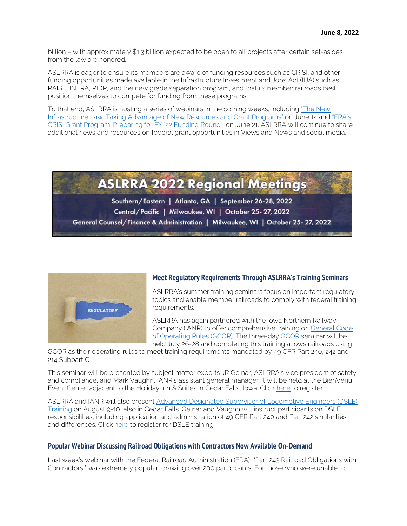billion – with approximately \$1.3 billion expected to be open to all projects after certain set-asides from the law are honored.

ASLRRA is eager to ensure its members are aware of funding resources such as CRISI, and other funding opportunities made available in the Infrastructure Investment and Jobs Act (IIJA) such as RAISE, INFRA, PIDP, and the new grade separation program, and that its member railroads best position themselves to compete for funding from these programs.

To that end, ASLRRA is hosting a series of webinars in the coming weeks, including "The New [Infrastructure Law: Taking Advantage of New Resources and Grant Programs"](https://www.aslrra.org/education/webinars/) on June 14 an[d "FRA's](https://www.aslrra.org/education/webinars/)  [CRISI Grant Program: Preparing for FY '22 Funding Round"](https://www.aslrra.org/education/webinars/) on June 21. ASLRRA will continue to share additional news and resources on federal grant opportunities in Views and News and social media.





### **Meet Regulatory Requirements Through ASLRRA's Training Seminars**

ASLRRA's summer training seminars focus on important regulatory topics and enable member railroads to comply with federal training requirements.

ASLRRA has again partnered with the Iowa Northern Railway Company (IANR) to offer comprehensive training on [General Code](https://www.aslrra.org/education/training-seminars/comprehensive-general-code-of-operating-rules-gcor-training-seminar/) [of Operating Rules \(GCOR\).](https://www.aslrra.org/education/training-seminars/comprehensive-general-code-of-operating-rules-gcor-training-seminar/) The three-day [GCOR](https://www.aslrra.org/education/training-seminars/comprehensive-general-code-of-operating-rules-gcor-training-seminar/) seminar will be held July 26-28 and completing this training allows railroads using

GCOR as their operating rules to meet training requirements mandated by 49 CFR Part 240, 242 and 214 Subpart C.

This seminar will be presented by subject matter experts JR Gelnar, ASLRRA's vice president of safety and compliance, and Mark Vaughn, IANR's assistant general manager. It will be held at the BienVenu Event Center adjacent to the Holiday Inn & Suites in Cedar Falls, Iowa. Click [here](https://aslrra.force.com/s/login/?ec=302&inst=4W&startURL=%2Fidp%2Flogin%3Fapp%3D0sp4W000000wkde%26RelayState%3DaHR0cHM6Ly93d3cuYXNscnJhLm9yZy9lZHVjYXRpb24vdHJhaW5pbmctc2VtaW5hcnMvY29tcHJlaGVuc2l2ZS1nZW5lcmFsLWNvZGUtb2Ytb3BlcmF0aW5nLXJ1bGVzLWdjb3ItdHJhaW5pbmctc2VtaW5hci9yZWdpc3Rlci1ub3cv%26binding%3DHttpPost%26inresponseto%3DASLRRA) to register.

ASLRRA and IANR will also present [Advanced Designated Supervisor of Locomotive Engineers \(DSLE\)](https://www.aslrra.org/education/training-seminars/advanced-designated-supervisor-of-locomotive-engineers-dsle-training-seminar/)  [Training](https://www.aslrra.org/education/training-seminars/advanced-designated-supervisor-of-locomotive-engineers-dsle-training-seminar/) on August 9-10, also in Cedar Falls. Gelnar and Vaughn will instruct participants on DSLE responsibilities, including application and administration of 49 CFR Part 240 and Part 242 similarities and differences. Click [here](https://www.aslrra.org/sso/saml/send/?rurl=https%3A%2F%2Fwww%2Easlrra%2Eorg%2Feducation%2Ftraining%2Dseminars%2Fadvanced%2Ddesignated%2Dsupervisor%2Dof%2Dlocomotive%2Dengineers%2Ddsle%2Dtraining%2Dseminar%2Fregister%2Dnow%2F) to register for DSLE training.

### **Popular Webinar Discussing Railroad Obligations with Contractors Now Available On-Demand**

Last week's webinar with the Federal Railroad Administration (FRA), "Part 243 Railroad Obligations with Contractors," was extremely popular, drawing over 200 participants. For those who were unable to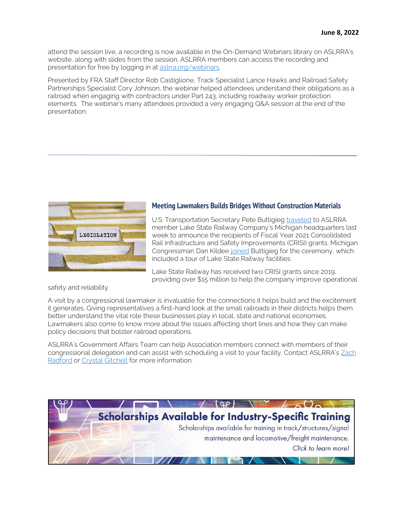attend the session live, a recording is now available in the On-Demand Webinars library on ASLRRA's website, along with slides from the session. ASLRRA members can access the recording and presentation for free by logging in at [aslrra.org/webinars.](https://www.aslrra.org/education/webinars/) 

Presented by FRA Staff Director Rob Castiglione, Track Specialist Lance Hawks and Railroad Safety Partnerships Specialist Cory Johnson, the webinar helped attendees understand their obligations as a railroad when engaging with contractors under Part 243, including roadway worker protection elements. The webinar's many attendees provided a very engaging Q&A session at the end of the presentation.



### **Meeting Lawmakers Builds Bridges Without Construction Materials**

U.S. Transportation Secretary Pete Buttigieg [traveled](https://www.youtube.com/watch?v=FU4wOOx6oqs) to ASLRRA member Lake State Railway Company's Michigan headquarters last week to announce the recipients of Fiscal Year 2021 Consolidated Rail Infrastructure and Safety Improvements (CRISI) grants. Michigan Congressman Dan Kildee [joined](https://dankildee.house.gov/media/press-releases/congressman-kildee-and-secretary-buttigieg-highlight-infrastructure-investments) Buttigieg for the ceremony, which included a tour of Lake State Railway facilities.

Lake State Railway has received two CRISI grants since 2019, providing over \$15 million to help the company improve operational

safety and reliability.

A visit by a congressional lawmaker is invaluable for the connections it helps build and the excitement it generates. Giving representatives a first-hand look at the small railroads in their districts helps them better understand the vital role these businesses play in local, state and national economies. Lawmakers also come to know more about the issues affecting short lines and how they can make policy decisions that bolster railroad operations.

ASLRRA's Government Affairs Team can help Association members connect with members of their congressional delegation and can assist with scheduling a visit to your facility. Contact ASLRRA's Zach [Radford](mailto:zradford@aslrra.org?subject=Congressional%20site%20visit) or [Crystal Gitchell](mailto:cgitchell@aslrra.org?subject=Congressional%20site%20visit) for more information.

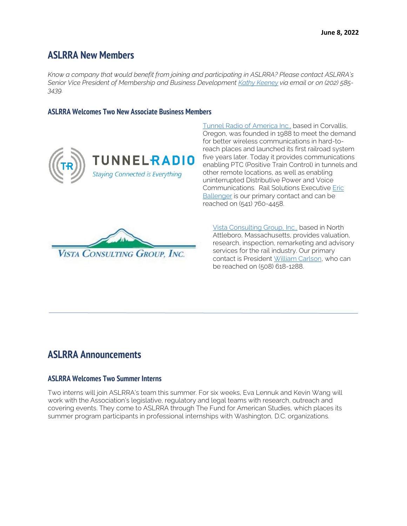### **ASLRRA New Members**

*Know a company that would benefit from joining and participating in ASLRRA? Please contact ASLRRA's Senior Vice President of Membership and Business Developmen[t Kathy Keeney](mailto:kkeeney@aslrra.org?subject=Membership) via email or on (202) 585- 3439.*

### **ASLRRA Welcomes Two New Associate Business Members**



UNNELRADIO Staying Connected is Everything

[Tunnel Radio of America Inc.,](https://nam11.safelinks.protection.outlook.com/?url=http%3A%2F%2Fwww.tunnelradio.com%2F&data=05%7C01%7Ceric.ballenger%40tunnelradio.com%7C0b058e5d79224432ceb808da44ad638b%7Ce7b65387f0254903bf531f72d87d77cd%7C1%7C1%7C637897808728773403%7CUnknown%7CTWFpbGZsb3d8eyJWIjoiMC4wLjAwMDAiLCJQIjoiV2luMzIiLCJBTiI6Ik1haWwiLCJXVCI6Mn0%3D%7C3000%7C%7C%7C&sdata=kA6gFll7rUsno8oDwnvxx0Ry%2BosZvcQaP0Blttwb6LY%3D&reserved=0) based in Corvallis, Oregon, was founded in 1988 to meet the demand for better wireless communications in hard-toreach places and launched its first railroad system five years later. Today it provides communications enabling PTC (Positive Train Control) in tunnels and other remote locations, as well as enabling uninterrupted Distributive Power and Voice Communications. Rail Solutions Executive [Eric](mailto:eric.ballenger@tunnelradio.com?subject=ASLRRA)  [Ballenger](mailto:eric.ballenger@tunnelradio.com?subject=ASLRRA) is our primary contact and can be reached on (541) 760-4458.



[Vista Consulting Group, Inc.,](http://vistacg.com/) based in North Attleboro, Massachusetts, provides valuation, research, inspection, remarketing and advisory services for the rail industry. Our primary contact is President [William Carlson,](mailto:bill@vistacg.com?subject=ASLRRA) who can be reached on (508) 618-1288.

### **ASLRRA Announcements**

### **ASLRRA Welcomes Two Summer Interns**

Two interns will join ASLRRA's team this summer. For six weeks, Eva Lennuk and Kevin Wang will work with the Association's legislative, regulatory and legal teams with research, outreach and covering events. They come to ASLRRA through The Fund for American Studies, which places its summer program participants in professional internships with Washington, D.C. organizations.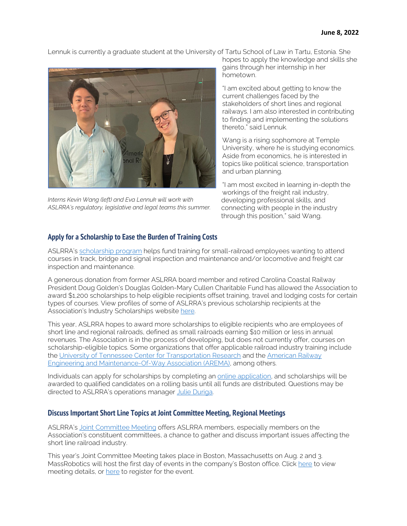Lennuk is currently a graduate student at the University of Tartu School of Law in Tartu, Estonia. She



*Interns Kevin Wang (left) and Eva Lennuk will work with ASLRRA's regulatory, legislative and legal teams this summer.*

hopes to apply the knowledge and skills she gains through her internship in her hometown.

"I am excited about getting to know the current challenges faced by the stakeholders of short lines and regional railways. I am also interested in contributing to finding and implementing the solutions thereto," said Lennuk.

Wang is a rising sophomore at Temple University, where he is studying economics. Aside from economics, he is interested in topics like political science, transportation and urban planning.

"I am most excited in learning in-depth the workings of the freight rail industry, developing professional skills, and connecting with people in the industry through this position," said Wang.

### **Apply for a Scholarship to Ease the Burden of Training Costs**

ASLRRA's [scholarship program](https://www.aslrra.org/education/education-fund/industry-scholarships/) helps fund training for small-railroad employees wanting to attend courses in track, bridge and signal inspection and maintenance and/or locomotive and freight car inspection and maintenance.

A generous donation from former ASLRRA board member and retired Carolina Coastal Railway President Doug Golden's Douglas Golden-Mary Cullen Charitable Fund has allowed the Association to award \$1,200 scholarships to help eligible recipients offset training, travel and lodging costs for certain types of courses. View profiles of some of ASLRRA's previous scholarship recipients at the Association's Industry Scholarships website [here.](https://www.aslrra.org/education/education-fund/industry-scholarships/) 

This year, ASLRRA hopes to award more scholarships to eligible recipients who are employees of short line and regional railroads, defined as small railroads earning \$10 million or less in annual revenues. The Association is in the process of developing, but does not currently offer, courses on scholarship-eligible topics. Some organizations that offer applicable railroad industry training include the [University of Tennessee Center for Transportation Research](https://ctr.utk.edu/rail-courses/) and the [American Railway](https://www.arema.org/AREMA_MBRR/Education_and_Events/AREMA_MBRR/Events/Education_and_Events.aspx?hkey=41dfbec6-df37-4d0a-a1c1-dd0b6454382c)  [Engineering and Maintenance-Of-Way Association \(AREMA\),](https://www.arema.org/AREMA_MBRR/Education_and_Events/AREMA_MBRR/Events/Education_and_Events.aspx?hkey=41dfbec6-df37-4d0a-a1c1-dd0b6454382c) among others.

Individuals can apply for scholarships by completing an [online application,](https://form.jotform.com/212225652926152) and scholarships will be awarded to qualified candidates on a rolling basis until all funds are distributed. Questions may be directed to ASLRRA's operations manager [Julie Duriga.](mailto:jduriga@aslrra.org?subject=Doug%20Golden%20Scholarships) 

### **Discuss Important Short Line Topics at Joint Committee Meeting, Regional Meetings**

ASLRRA's [Joint Committee Meeting](https://www.aslrra.org/events/joint-committee-meeting/) offers ASLRRA members, especially members on the Association's constituent committees, a chance to gather and discuss important issues affecting the short line railroad industry.

This year's Joint Committee Meeting takes place in Boston, Massachusetts on Aug. 2 and 3. MassRobotics will host the first day of events in the company's Boston office. Click [here](https://www.aslrra.org/aslrra/document-server/?cfp=aslrra/assets/File/public/events/2022-Joint-Committee-Meeting.pdf) to view meeting details, or [here](https://aslrra.force.com/s/login/?ec=302&inst=4W&startURL=%2Fidp%2Flogin%3Fapp%3D0sp4W000000wkde%26RelayState%3DaHR0cHM6Ly93d3cuYXNscnJhLm9yZy9ldmVudHMvam9pbnQtY29tbWl0dGVlLW1lZXRpbmcvcmVnaXN0ZXItbm93Lw%253D%253D%26binding%3DHttpPost%26inresponseto%3DASLRRA) to register for the event.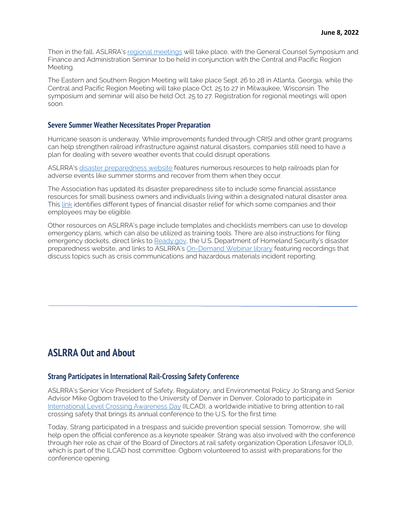Then in the fall, ASLRRA's [regional meetings](https://www.aslrra.org/events/regional-meetings/) will take place, with the General Counsel Symposium and Finance and Administration Seminar to be held in conjunction with the Central and Pacific Region Meeting.

The Eastern and Southern Region Meeting will take place Sept. 26 to 28 in Atlanta, Georgia, while the Central and Pacific Region Meeting will take place Oct. 25 to 27 in Milwaukee, Wisconsin. The symposium and seminar will also be held Oct. 25 to 27. Registration for regional meetings will open soon.

#### **Severe Summer Weather Necessitates Proper Preparation**

Hurricane season is underway. While improvements funded through CRISI and other grant programs can help strengthen railroad infrastructure against natural disasters, companies still need to have a plan for dealing with severe weather events that could disrupt operations.

ASLRRA's [disaster preparedness website](https://www.aslrra.org/safety-compliance/disaster-preparedness/) features numerous resources to help railroads plan for adverse events like summer storms and recover from them when they occur.

The Association has updated its disaster preparedness site to include some financial assistance resources for small business owners and individuals living within a designated natural disaster area. This [link](https://www.usa.gov/disaster-area-help) identifies different types of financial disaster relief for which some companies and their employees may be eligible.

Other resources on ASLRRA's page include templates and checklists members can use to develop emergency plans, which can also be utilized as training tools. There are also instructions for filing emergency dockets, direct links to [Ready.gov,](https://www.ready.gov/) the U.S. Department of Homeland Security's disaster preparedness website, and links to ASLRRA's [On-Demand Webinar library](https://www.aslrra.org/web/iCore/Contacts/Sign_In.aspx?WebsiteKey=c1a5d574-a1c1-46a8-9bc5-382d63587a89&LoginRedirect=true&returnurl=%2Fweb%2FEvents%2FWebinar_Resource_Library%2FOn-Demand_New%2FFilterizedTaggedList%2FMembers_Landing_Page.aspx) featuring recordings that discuss topics such as crisis communications and hazardous materials incident reporting.

### **ASLRRA Out and About**

### **Strang Participates in International Rail-Crossing Safety Conference**

ASLRRA's Senior Vice President of Safety, Regulatory, and Environmental Policy Jo Strang and Senior Advisor Mike Ogborn traveled to the University of Denver in Denver, Colorado to participate in [International Level Crossing Awareness Day](https://ilcad.org/) (ILCAD), a worldwide initiative to bring attention to rail crossing safety that brings its annual conference to the U.S. for the first time.

Today, Strang participated in a trespass and suicide prevention special session. Tomorrow, she will help open the official conference as a keynote speaker. Strang was also involved with the conference through her role as chair of the Board of Directors at rail safety organization Operation Lifesaver (OLI), which is part of the ILCAD host committee. Ogborn volunteered to assist with preparations for the conference opening.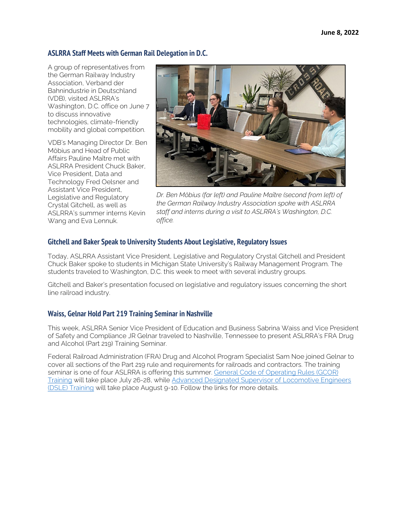### **ASLRRA Staff Meets with German Rail Delegation in D.C.**

A group of representatives from the German Railway Industry Association, Verband der Bahnindustrie in Deutschland (VDB), visited ASLRRA's Washington, D.C. office on June 7 to discuss innovative technologies, climate-friendly mobility and global competition.

VDB's Managing Director Dr. Ben Möbius and Head of Public Affairs Pauline Maître met with ASLRRA President Chuck Baker, Vice President, Data and Technology Fred Oelsner and Assistant Vice President, Legislative and Regulatory Crystal Gitchell, as well as ASLRRA's summer interns Kevin Wang and Eva Lennuk.



*Dr. Ben Möbius (far left) and Pauline Maître (second from left) of the German Railway Industry Association spoke with ASLRRA staff and interns during a visit to ASLRRA's Washington, D.C. office.*

### **Gitchell and Baker Speak to University Students About Legislative, Regulatory Issues**

Today, ASLRRA Assistant Vice President, Legislative and Regulatory Crystal Gitchell and President Chuck Baker spoke to students in Michigan State University's Railway Management Program. The students traveled to Washington, D.C. this week to meet with several industry groups.

Gitchell and Baker's presentation focused on legislative and regulatory issues concerning the short line railroad industry.

### **Waiss, Gelnar Hold Part 219 Training Seminar in Nashville**

This week, ASLRRA Senior Vice President of Education and Business Sabrina Waiss and Vice President of Safety and Compliance JR Gelnar traveled to Nashville, Tennessee to present ASLRRA's FRA Drug and Alcohol (Part 219) Training Seminar.

Federal Railroad Administration (FRA) Drug and Alcohol Program Specialist Sam Noe joined Gelnar to cover all sections of the Part 219 rule and requirements for railroads and contractors. The training seminar is one of four ASLRRA is offering this summer. General Code of Operating Rules (GCOR) [Training](https://www.aslrra.org/education/training-seminars/comprehensive-general-code-of-operating-rules-gcor-training-seminar/) will take place July 26-28, while [Advanced Designated Supervisor of Locomotive Engineers](https://www.aslrra.org/education/training-seminars/advanced-designated-supervisor-of-locomotive-engineers-dsle-training-seminar/)  [\(DSLE\) Training](https://www.aslrra.org/education/training-seminars/advanced-designated-supervisor-of-locomotive-engineers-dsle-training-seminar/) will take place August 9-10. Follow the links for more details.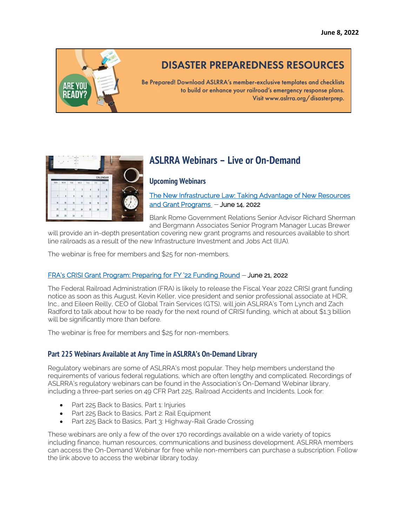

## **DISASTER PREPAREDNESS RESOURCES**

Be Prepared! Download ASLRRA's member-exclusive templates and checklists to build or enhance your railroad's emergency response plans. Visit www.aslrra.org/disasterprep.

|   | CALENDAR     |     |               |                           |                |     |                |  |
|---|--------------|-----|---------------|---------------------------|----------------|-----|----------------|--|
|   | SAT          | FRI | THU           | <b>WED</b>                | TUE            | MON | SUN            |  |
|   | $\mathsf{6}$ | 5   | $\ddot{4}$    | $\overline{3}$            | $\overline{c}$ | 1   |                |  |
|   | 13           | 12  | $\mathbf{11}$ | 10                        | $\overline{9}$ | 8   | $\overline{1}$ |  |
| Ŕ | 20           | 19  | 18            | $\overline{\mathfrak{n}}$ | 16             | 15  | 14             |  |
|   | 27           | 26  | 25            | 24                        | 23             | 22  | 21             |  |
|   |              |     |               | 31                        | 30             | 29  | 28             |  |

### **ASLRRA Webinars – Live or On-Demand**

### **Upcoming Webinars**

[The New Infrastructure Law: Taking Advantage of New Resources](https://www.aslrra.org/education/webinars/)  [and Grant Programs](https://www.aslrra.org/education/webinars/) – June 14, 2022

Blank Rome Government Relations Senior Advisor Richard Sherman and Bergmann Associates Senior Program Manager Lucas Brewer

will provide an in-depth presentation covering new grant programs and resources available to short line railroads as a result of the new Infrastructure Investment and Jobs Act (IIJA).

The webinar is free for members and \$25 for non-members.

### [FRA's CRISI Grant Program: Preparing for FY '22 Funding Round](https://www.aslrra.org/education/webinars/) – June 21, 2022

The Federal Railroad Administration (FRA) is likely to release the Fiscal Year 2022 CRISI grant funding notice as soon as this August. Kevin Keller, vice president and senior professional associate at HDR, Inc., and Eileen Reilly, CEO of Global Train Services (GTS), will join ASLRRA's Tom Lynch and Zach Radford to talk about how to be ready for the next round of CRISI funding, which at about \$1.3 billion will be significantly more than before.

The webinar is free for members and \$25 for non-members.

### **Part 225 Webinars Available at Any Time in ASLRRA's On-Demand Library**

Regulatory webinars are some of ASLRRA's most popular. They help members understand the requirements of various federal regulations, which are often lengthy and complicated. Recordings of ASLRRA's regulatory webinars can be found in the Association's On-Demand Webinar library, including a three-part series on 49 CFR Part 225, Railroad Accidents and Incidents. Look for:

- Part 225 Back to Basics, Part 1: Injuries
- Part 225 Back to Basics, Part 2: Rail Equipment
- Part 225 Back to Basics, Part 3: Highway-Rail Grade Crossing

These webinars are only a few of the over 170 recordings available on a wide variety of topics including finance, human resources, communications and business development. ASLRRA members can access the On-Demand Webinar for free while non-members can purchase a subscription. Follow the link above to access the webinar library today.